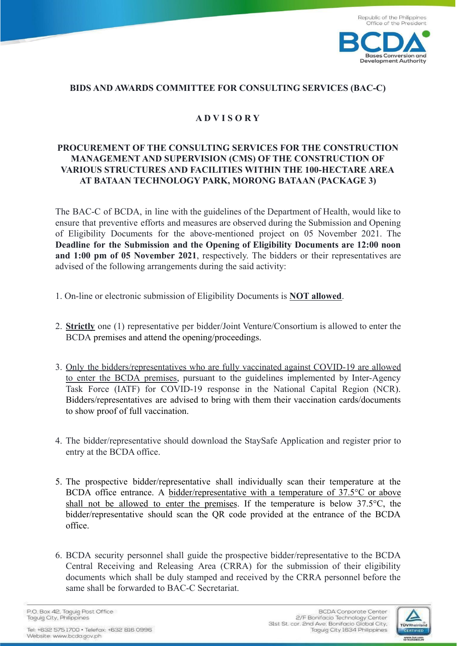

## **BIDS AND AWARDS COMMITTEE FOR CONSULTING SERVICES (BAC-C)**

## **A D V I S O R Y**

## **PROCUREMENT OF THE CONSULTING SERVICES FOR THE CONSTRUCTION MANAGEMENT AND SUPERVISION (CMS) OF THE CONSTRUCTION OF VARIOUS STRUCTURES AND FACILITIES WITHIN THE 100-HECTARE AREA AT BATAAN TECHNOLOGY PARK, MORONG BATAAN (PACKAGE 3)**

The BAC-C of BCDA, in line with the guidelines of the Department of Health, would like to ensure that preventive efforts and measures are observed during the Submission and Opening of Eligibility Documents for the above-mentioned project on 05 November 2021. The **Deadline for the Submission and the Opening of Eligibility Documents are 12:00 noon and 1:00 pm of 05 November 2021**, respectively. The bidders or their representatives are advised of the following arrangements during the said activity:

- 1. On-line or electronic submission of Eligibility Documents is **NOT allowed**.
- 2. **Strictly** one (1) representative per bidder/Joint Venture/Consortium is allowed to enter the BCDA premises and attend the opening/proceedings.
- 3. Only the bidders/representatives who are fully vaccinated against COVID-19 are allowed to enter the BCDA premises, pursuant to the guidelines implemented by Inter-Agency Task Force (IATF) for COVID-19 response in the National Capital Region (NCR). Bidders/representatives are advised to bring with them their vaccination cards/documents to show proof of full vaccination.
- 4. The bidder/representative should download the StaySafe Application and register prior to entry at the BCDA office.
- 5. The prospective bidder/representative shall individually scan their temperature at the BCDA office entrance. A bidder/representative with a temperature of 37.5°C or above shall not be allowed to enter the premises. If the temperature is below 37.5°C, the bidder/representative should scan the QR code provided at the entrance of the BCDA office.
- 6. BCDA security personnel shall guide the prospective bidder/representative to the BCDA Central Receiving and Releasing Area (CRRA) for the submission of their eligibility documents which shall be duly stamped and received by the CRRA personnel before the same shall be forwarded to BAC-C Secretariat.

P.O. Box 42, Taguig Post Office Taquig City, Philippines